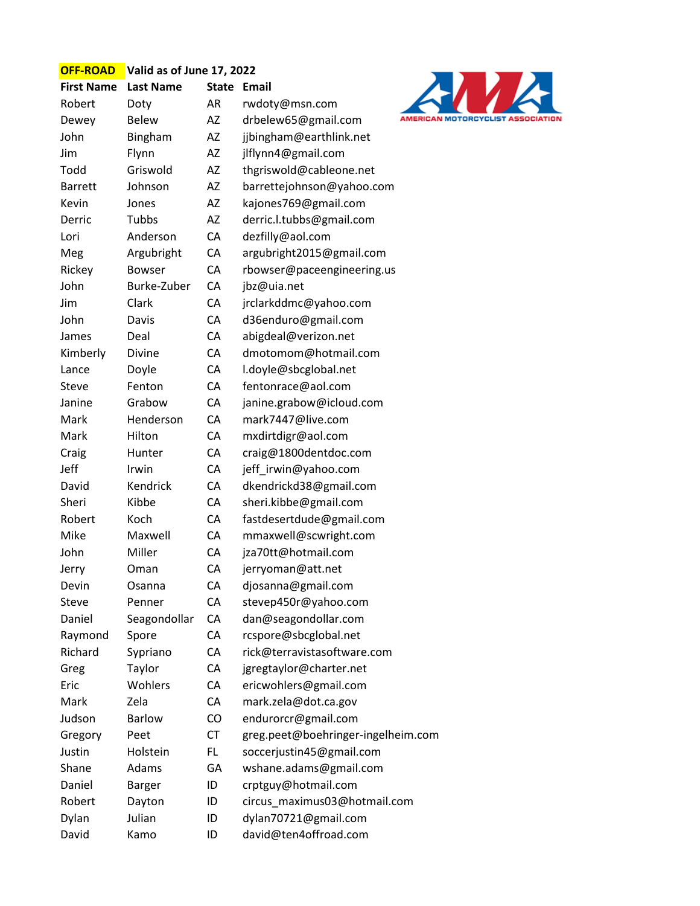| <b>OFF-ROAD</b>   | Valid as of June 17, 2022 |           |                                    |  |  |
|-------------------|---------------------------|-----------|------------------------------------|--|--|
| <b>First Name</b> | <b>Last Name</b>          | State     | <b>Email</b>                       |  |  |
| Robert            | Doty                      | AR        | rwdoty@msn.com                     |  |  |
| Dewey             | <b>Belew</b>              | AZ        | drbelew65@gmail.com                |  |  |
| John              | Bingham                   | AZ        | jjbingham@earthlink.net            |  |  |
| Jim               | Flynn                     | AZ        | jlflynn4@gmail.com                 |  |  |
| Todd              | Griswold                  | AZ        | thgriswold@cableone.net            |  |  |
| <b>Barrett</b>    | Johnson                   | AZ        | barrettejohnson@yahoo.com          |  |  |
| Kevin             | Jones                     | AZ        | kajones769@gmail.com               |  |  |
| Derric            | Tubbs                     | AZ        | derric.l.tubbs@gmail.com           |  |  |
| Lori              | Anderson                  | CA        | dezfilly@aol.com                   |  |  |
| Meg               | Argubright                | CA        | argubright2015@gmail.com           |  |  |
| Rickey            | <b>Bowser</b>             | CA        | rbowser@paceengineering.us         |  |  |
| John              | Burke-Zuber               | CA        | jbz@uia.net                        |  |  |
| Jim               | Clark                     | CA        | jrclarkddmc@yahoo.com              |  |  |
| John              | Davis                     | CA        | d36enduro@gmail.com                |  |  |
| James             | Deal                      | CA        | abigdeal@verizon.net               |  |  |
| Kimberly          | Divine                    | CA        | dmotomom@hotmail.com               |  |  |
| Lance             | Doyle                     | CA        | l.doyle@sbcglobal.net              |  |  |
| Steve             | Fenton                    | CA        | fentonrace@aol.com                 |  |  |
| Janine            | Grabow                    | CA        | janine.grabow@icloud.com           |  |  |
| Mark              | Henderson                 | CA        | mark7447@live.com                  |  |  |
| Mark              | Hilton                    | CA        | mxdirtdigr@aol.com                 |  |  |
| Craig             | Hunter                    | CA        | craig@1800dentdoc.com              |  |  |
| Jeff              | Irwin                     | CA        | jeff_irwin@yahoo.com               |  |  |
| David             | Kendrick                  | CA        | dkendrickd38@gmail.com             |  |  |
| Sheri             | Kibbe                     | CA        | sheri.kibbe@gmail.com              |  |  |
| Robert            | Koch                      | CA        | fastdesertdude@gmail.com           |  |  |
| Mike              | Maxwell                   | CA        | mmaxwell@scwright.com              |  |  |
| John              | Miller                    | CA        | jza70tt@hotmail.com                |  |  |
| Jerry             | Oman                      | CA        | jerryoman@att.net                  |  |  |
| Devin             | Osanna                    | CA        | djosanna@gmail.com                 |  |  |
| Steve             | Penner                    | CA        | stevep450r@yahoo.com               |  |  |
| Daniel            | Seagondollar              | CA        | dan@seagondollar.com               |  |  |
| Raymond           | Spore                     | CA        | rcspore@sbcglobal.net              |  |  |
| Richard           | Sypriano                  | CA        | rick@terravistasoftware.com        |  |  |
| Greg              | Taylor                    | CA        | jgregtaylor@charter.net            |  |  |
| Eric              | Wohlers                   | CA        | ericwohlers@gmail.com              |  |  |
| Mark              | Zela                      | CA        | mark.zela@dot.ca.gov               |  |  |
| Judson            | <b>Barlow</b>             | CO        | endurorcr@gmail.com                |  |  |
| Gregory           | Peet                      | <b>CT</b> | greg.peet@boehringer-ingelheim.com |  |  |
| Justin            | Holstein                  | <b>FL</b> | soccerjustin45@gmail.com           |  |  |
| Shane             | Adams                     | GA        | wshane.adams@gmail.com             |  |  |
| Daniel            | <b>Barger</b>             | ID        | crptguy@hotmail.com                |  |  |
| Robert            | Dayton                    | ID        | circus_maximus03@hotmail.com       |  |  |
| Dylan             | Julian                    | ID        | dylan70721@gmail.com               |  |  |
| David             | Kamo                      | ID        | david@ten4offroad.com              |  |  |

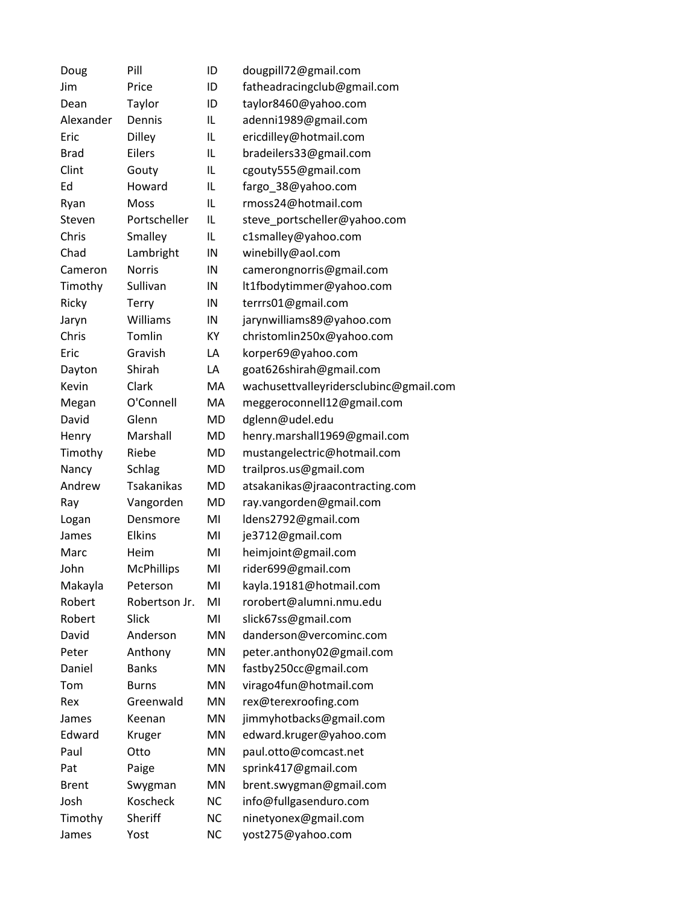| Doug         | Pill              | ID        | dougpill72@gmail.com                   |
|--------------|-------------------|-----------|----------------------------------------|
| Jim          | Price             | ID        | fatheadracingclub@gmail.com            |
| Dean         | Taylor            | ID        | taylor8460@yahoo.com                   |
| Alexander    | Dennis            | IL        | adenni1989@gmail.com                   |
| Eric         | Dilley            | IL        | ericdilley@hotmail.com                 |
| <b>Brad</b>  | Eilers            | IL        | bradeilers33@gmail.com                 |
| Clint        | Gouty             | IL        | cgouty555@gmail.com                    |
| Ed           | Howard            | IL        | fargo_38@yahoo.com                     |
| Ryan         | Moss              | IL        | rmoss24@hotmail.com                    |
| Steven       | Portscheller      | IL        | steve_portscheller@yahoo.com           |
| Chris        | Smalley           | IL        | c1smalley@yahoo.com                    |
| Chad         | Lambright         | IN        | winebilly@aol.com                      |
| Cameron      | <b>Norris</b>     | IN        | camerongnorris@gmail.com               |
| Timothy      | Sullivan          | IN        | lt1fbodytimmer@yahoo.com               |
| Ricky        | <b>Terry</b>      | IN        | terrrs01@gmail.com                     |
| Jaryn        | Williams          | IN        | jarynwilliams89@yahoo.com              |
| Chris        | Tomlin            | KY        | christomlin250x@yahoo.com              |
| Eric         | Gravish           | LA        | korper69@yahoo.com                     |
| Dayton       | Shirah            | LA        | goat626shirah@gmail.com                |
| Kevin        | Clark             | MA        | wachusettvalleyridersclubinc@gmail.com |
| Megan        | O'Connell         | MA        | meggeroconnell12@gmail.com             |
| David        | Glenn             | MD        | dglenn@udel.edu                        |
| Henry        | Marshall          | MD        | henry.marshall1969@gmail.com           |
| Timothy      | Riebe             | MD        | mustangelectric@hotmail.com            |
| Nancy        | Schlag            | <b>MD</b> | trailpros.us@gmail.com                 |
| Andrew       | <b>Tsakanikas</b> | MD        | atsakanikas@jraacontracting.com        |
| Ray          | Vangorden         | MD        | ray.vangorden@gmail.com                |
| Logan        | Densmore          | MI        | ldens2792@gmail.com                    |
| James        | <b>Elkins</b>     | MI        | je3712@gmail.com                       |
| Marc         | Heim              | MI        | heimjoint@gmail.com                    |
| John         | <b>McPhillips</b> | MI        | rider699@gmail.com                     |
| Makayla      | Peterson          | MI        | kayla.19181@hotmail.com                |
| Robert       | Robertson Jr.     | MI        | rorobert@alumni.nmu.edu                |
| Robert       | <b>Slick</b>      | MI        | slick67ss@gmail.com                    |
| David        | Anderson          | MN        | danderson@vercominc.com                |
| Peter        | Anthony           | MN        | peter.anthony02@gmail.com              |
| Daniel       | <b>Banks</b>      | <b>MN</b> | fastby250cc@gmail.com                  |
| Tom          | <b>Burns</b>      | MN        | virago4fun@hotmail.com                 |
| Rex          | Greenwald         | MN        | rex@terexroofing.com                   |
| James        | Keenan            | MN        | jimmyhotbacks@gmail.com                |
| Edward       | Kruger            | MN        | edward.kruger@yahoo.com                |
| Paul         | Otto              | MN        | paul.otto@comcast.net                  |
| Pat          | Paige             | MN        | sprink417@gmail.com                    |
| <b>Brent</b> | Swygman           | MN        | brent.swygman@gmail.com                |
| Josh         | Koscheck          | <b>NC</b> | info@fullgasenduro.com                 |
| Timothy      | Sheriff           | <b>NC</b> | ninetyonex@gmail.com                   |
| James        | Yost              | <b>NC</b> | yost275@yahoo.com                      |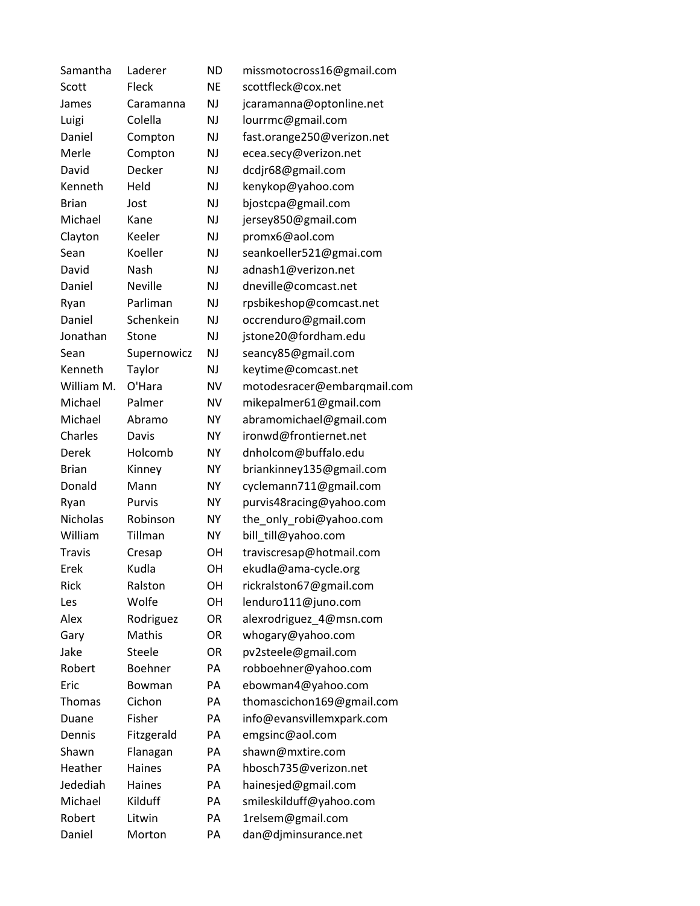| Samantha        | Laderer        | <b>ND</b> | missmotocross16@gmail.com   |
|-----------------|----------------|-----------|-----------------------------|
| Scott           | Fleck          | <b>NE</b> | scottfleck@cox.net          |
| James           | Caramanna      | NJ        | jcaramanna@optonline.net    |
| Luigi           | Colella        | NJ        | lourrmc@gmail.com           |
| Daniel          | Compton        | <b>NJ</b> | fast.orange250@verizon.net  |
| Merle           | Compton        | <b>NJ</b> | ecea.secy@verizon.net       |
| David           | Decker         | NJ        | dcdjr68@gmail.com           |
| Kenneth         | Held           | <b>NJ</b> | kenykop@yahoo.com           |
| <b>Brian</b>    | Jost           | <b>NJ</b> | bjostcpa@gmail.com          |
| Michael         | Kane           | <b>NJ</b> | jersey850@gmail.com         |
| Clayton         | Keeler         | <b>NJ</b> | promx6@aol.com              |
| Sean            | Koeller        | <b>NJ</b> | seankoeller521@gmai.com     |
| David           | Nash           | <b>NJ</b> | adnash1@verizon.net         |
| Daniel          | <b>Neville</b> | <b>NJ</b> | dneville@comcast.net        |
| Ryan            | Parliman       | <b>NJ</b> | rpsbikeshop@comcast.net     |
| Daniel          | Schenkein      | NJ        | occrenduro@gmail.com        |
| Jonathan        | Stone          | <b>NJ</b> | jstone20@fordham.edu        |
| Sean            | Supernowicz    | <b>NJ</b> | seancy85@gmail.com          |
| Kenneth         | Taylor         | NJ        | keytime@comcast.net         |
| William M.      | O'Hara         | <b>NV</b> | motodesracer@embarqmail.com |
| Michael         | Palmer         | <b>NV</b> | mikepalmer61@gmail.com      |
| Michael         | Abramo         | <b>NY</b> | abramomichael@gmail.com     |
| Charles         | Davis          | <b>NY</b> | ironwd@frontiernet.net      |
| Derek           | Holcomb        | <b>NY</b> | dnholcom@buffalo.edu        |
| <b>Brian</b>    | Kinney         | <b>NY</b> | briankinney135@gmail.com    |
| Donald          | Mann           | NY        | cyclemann711@gmail.com      |
| Ryan            | Purvis         | <b>NY</b> | purvis48racing@yahoo.com    |
| <b>Nicholas</b> | Robinson       | NΥ        | the_only_robi@yahoo.com     |
| William         | Tillman        | <b>NY</b> | bill_till@yahoo.com         |
| <b>Travis</b>   | Cresap         | OН        | traviscresap@hotmail.com    |
| Erek            | Kudla          | OH        | ekudla@ama-cycle.org        |
| Rick            | Ralston        | OH        | rickralston67@gmail.com     |
| Les             | Wolfe          | OН        | lenduro111@juno.com         |
| Alex            | Rodriguez      | OR        | alexrodriguez 4@msn.com     |
| Gary            | <b>Mathis</b>  | <b>OR</b> | whogary@yahoo.com           |
| Jake            | <b>Steele</b>  | OR        | pv2steele@gmail.com         |
| Robert          | Boehner        | PA        | robboehner@yahoo.com        |
| Eric            | Bowman         | PA        | ebowman4@yahoo.com          |
| Thomas          | Cichon         | PA        | thomascichon169@gmail.com   |
| Duane           | Fisher         | PA        | info@evansvillemxpark.com   |
| Dennis          | Fitzgerald     | PA        | emgsinc@aol.com             |
| Shawn           | Flanagan       | PA        | shawn@mxtire.com            |
| Heather         | Haines         | PA        | hbosch735@verizon.net       |
| Jedediah        | Haines         | PA        | hainesjed@gmail.com         |
| Michael         | Kilduff        | PA        | smileskilduff@yahoo.com     |
| Robert          | Litwin         | PA        | 1relsem@gmail.com           |
| Daniel          | Morton         | PA        | dan@djminsurance.net        |